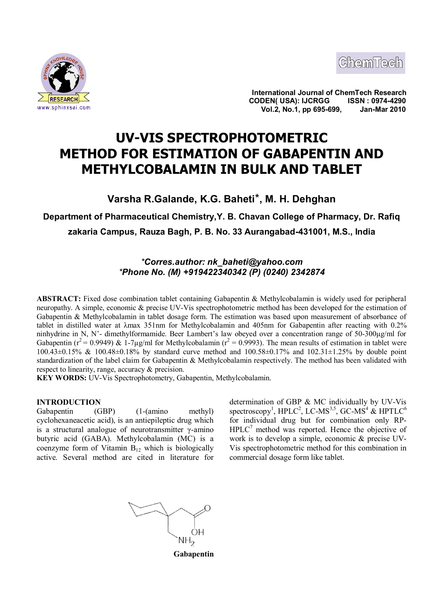



**International Journal of ChemTech Research CODEN( USA): IJCRGG ISSN : 0974-4290** www.sphinxsai.com **Collage 2010 Vol.2, No.1, pp 695-699,** 

# **UV-VIS SPECTROPHOTOMETRIC METHOD FOR ESTIMATION OF GABAPENTIN AND METHYLCOBALAMIN IN BULK AND TABLET**

**Varsha R.Galande, K.G. Baheti**\***, M. H. Dehghan**

**Department of Pharmaceutical Chemistry,Y. B. Chavan College of Pharmacy, Dr. Rafiq zakaria Campus, Rauza Bagh, P. B. No. 33 Aurangabad-431001, M.S., India**

# *\*Corres.author: nk\_baheti@yahoo.com \*Phone No. (M) +919422340342 (P) (0240) 2342874*

**ABSTRACT:** Fixed dose combination tablet containing Gabapentin & Methylcobalamin is widely used for peripheral neuropathy. A simple, economic & precise UV-Vis spectrophotometric method has been developed for the estimation of Gabapentin & Methylcobalamin in tablet dosage form. The estimation was based upon measurement of absorbance of tablet in distilled water at λmax 351nm for Methylcobalamin and 405nm for Gabapentin after reacting with 0.2% ninhydrine in N, N'- dimethylformamide. Beer Lambert's law obeyed over a concentration range of 50-300µg/ml for Gabapentin ( $r^2 = 0.9949$ ) & 1-7µg/ml for Methylcobalamin ( $r^2 = 0.9993$ ). The mean results of estimation in tablet were 100.43±0.15% & 100.48±0.18% by standard curve method and 100.58±0.17% and 102.31±1.25% by double point standardization of the label claim for Gabapentin & Methylcobalamin respectively. The method has been validated with respect to linearity, range, accuracy & precision.

**KEY WORDS:** UV-Vis Spectrophotometry, Gabapentin, Methylcobalamin.

# **INTRODUCTION**

Gabapentin (GBP) (1-(amino methyl) cyclohexaneacetic acid), is an antiepileptic drug which is a structural analogue of neurotransmitter  $\gamma$ -amino butyric acid (GABA). Methylcobalamin (MC) is a coenzyme form of Vitamin  $B_{12}$  which is biologically active. Several method are cited in literature for

determination of GBP & MC individually by UV-Vis spectroscopy<sup>1</sup>, HPLC<sup>2</sup>, LC-MS<sup>3,5</sup>, GC-MS<sup>4</sup> & HPTLC<sup>6</sup> for individual drug but for combination only RP- $HPLC<sup>7</sup>$  method was reported. Hence the objective of work is to develop a simple, economic & precise UV-Vis spectrophotometric method for this combination in commercial dosage form like tablet.

 $\bigcap$ NH<sub>2</sub>

**Gabapentin**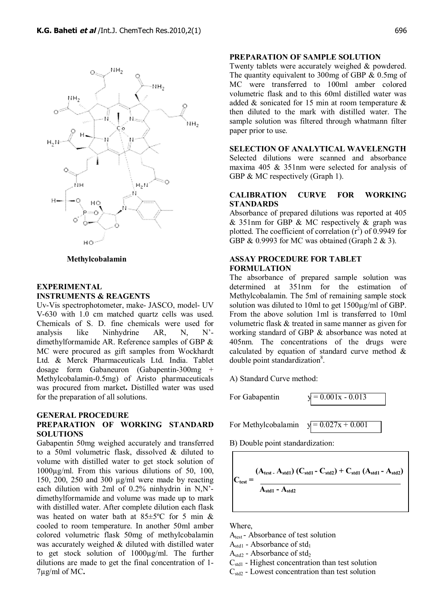

 **Methylcobalamin**

# **EXPERIMENTAL INSTRUMENTS & REAGENTS**

Uv-Vis spectrophotometer, make- JASCO, model- UV V-630 with 1.0 cm matched quartz cells was used. Chemicals of S. D. fine chemicals were used for analysis like Ninhydrine  $AR$ , N, N, N, dimethylformamide AR. Reference samples of GBP & MC were procured as gift samples from Wockhardt Ltd. & Merck Pharmaceuticals Ltd. India. Tablet dosage form Gabaneuron (Gabapentin-300mg + Methylcobalamin-0.5mg) of Aristo pharmaceuticals was procured from market**.** Distilled water was used for the preparation of all solutions.

# **GENERAL PROCEDURE PREPARATION OF WORKING STANDARD SOLUTIONS**

Gabapentin 50mg weighed accurately and transferred to a 50ml volumetric flask, dissolved & diluted to volume with distilled water to get stock solution of 1000µg/ml. From this various dilutions of 50, 100, 150, 200, 250 and 300 µg/ml were made by reacting each dilution with 2ml of 0.2% ninhydrin in N,N' dimethylformamide and volume was made up to mark with distilled water. After complete dilution each flask was heated on water bath at 85±5ºC for 5 min & cooled to room temperature. In another 50ml amber colored volumetric flask 50mg of methylcobalamin was accurately weighed & diluted with distilled water to get stock solution of 1000µg/ml. The further dilutions are made to get the final concentration of 1- 7µg/ml of MC**.**

#### **PREPARATION OF SAMPLE SOLUTION**

Twenty tablets were accurately weighed & powdered. The quantity equivalent to 300mg of GBP & 0.5mg of MC were transferred to 100ml amber colored volumetric flask and to this 60ml distilled water was added & sonicated for 15 min at room temperature & then diluted to the mark with distilled water. The sample solution was filtered through whatmann filter paper prior to use.

**SELECTION OF ANALYTICAL WAVELENGTH** Selected dilutions were scanned and absorbance maxima 405 & 351nm were selected for analysis of GBP & MC respectively (Graph 1).

### **CALIBRATION CURVE FOR WORKING STANDARDS**

Absorbance of prepared dilutions was reported at 405 & 351nm for GBP & MC respectively & graph was plotted. The coefficient of correlation  $(r^2)$  of 0.9949 for GBP & 0.9993 for MC was obtained (Graph 2 & 3).

# **ASSAY PROCEDURE FOR TABLET FORMULATION**

The absorbance of prepared sample solution was determined at 351nm for the estimation of Methylcobalamin. The 5ml of remaining sample stock solution was diluted to 10ml to get 1500µg/ml of GBP. From the above solution 1ml is transferred to 10ml volumetric flask & treated in same manner as given for working standard of GBP & absorbance was noted at 405nm. The concentrations of the drugs were calculated by equation of standard curve method & double point standardization<sup>8</sup>.

A) Standard Curve method:

For Gabapentin  $y = 0.001x - 0.013$ 

For Methylcobalamin  $y = 0.027x + 0.001$ 

B) Double point standardization:

$$
C_{\text{test}} = \frac{(A_{\text{test}} - A_{\text{std1}}) (C_{\text{std1}} - C_{\text{std2}}) + C_{\text{std1}} (A_{\text{std1}} - A_{\text{std2}})}{A_{\text{std1}} - A_{\text{std2}}}
$$

Where,

- A<sub>test</sub>-Absorbance of test solution
- $A_{std1}$  Absorbance of std<sub>1</sub>
- $A_{std2}$  Absorbance of std<sub>2</sub>
- $C_{std1}$  Highest concentration than test solution
- $C_{std2}$  Lowest concentration than test solution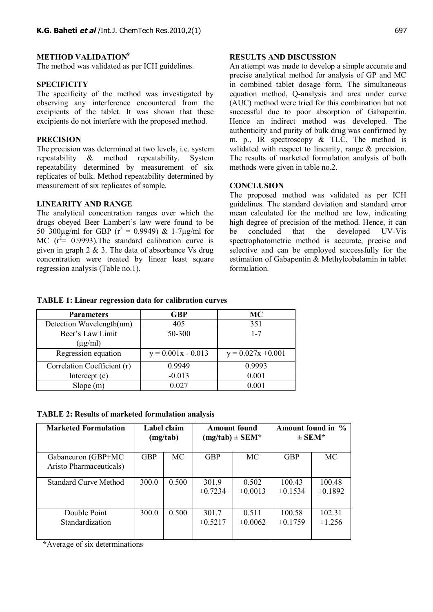### **METHOD VALIDATION<sup>9</sup>**

The method was validated as per ICH guidelines.

### **SPECIFICITY**

The specificity of the method was investigated by observing any interference encountered from the excipients of the tablet. It was shown that these excipients do not interfere with the proposed method.

# **PRECISION**

The precision was determined at two levels, i.e. system repeatability & method repeatability. System repeatability determined by measurement of six replicates of bulk. Method repeatability determined by measurement of six replicates of sample.

#### **LINEARITY AND RANGE**

The analytical concentration ranges over which the drugs obeyed Beer Lambert's law were found to be 50–300 $\mu$ g/ml for GBP ( $r^2 = 0.9949$ ) & 1-7 $\mu$ g/ml for MC  $(r^2 = 0.9993)$ . The standard calibration curve is given in graph  $2 \& 3$ . The data of absorbance Vs drug concentration were treated by linear least square regression analysis (Table no.1).

#### **RESULTS AND DISCUSSION**

An attempt was made to develop a simple accurate and precise analytical method for analysis of GP and MC in combined tablet dosage form. The simultaneous equation method, Q-analysis and area under curve (AUC) method were tried for this combination but not successful due to poor absorption of Gabapentin. Hence an indirect method was developed. The authenticity and purity of bulk drug was confirmed by m. p., IR spectroscopy & TLC. The method is validated with respect to linearity, range & precision. The results of marketed formulation analysis of both methods were given in table no.2.

### **CONCLUSION**

The proposed method was validated as per ICH guidelines. The standard deviation and standard error mean calculated for the method are low, indicating high degree of precision of the method. Hence, it can be concluded that the developed UV-Vis spectrophotometric method is accurate, precise and selective and can be employed successfully for the estimation of Gabapentin & Methylcobalamin in tablet formulation.

#### **TABLE 1: Linear regression data for calibration curves**

| <b>Parameters</b>                | <b>GBP</b>           | MC                   |  |  |
|----------------------------------|----------------------|----------------------|--|--|
| Detection Wavelength(nm)         | 405                  | 351                  |  |  |
| Beer's Law Limit<br>$(\mu g/ml)$ | 50-300               | $1 - 7$              |  |  |
| Regression equation              | $y = 0.001x - 0.013$ | $y = 0.027x + 0.001$ |  |  |
| Correlation Coefficient (r)      | 0.9949               | 0.9993               |  |  |
| Intercept $(c)$                  | $-0.013$             | 0.001                |  |  |
| Slope(m)                         | 0.027                | 0.001                |  |  |

|  |  |  |  |  |  |  | <b>TABLE 2: Results of marketed formulation analysis</b> |  |
|--|--|--|--|--|--|--|----------------------------------------------------------|--|
|--|--|--|--|--|--|--|----------------------------------------------------------|--|

| <b>Marketed Formulation</b>                   | Label claim<br>(mg/tab) |       | <b>Amount found</b><br>$(mg/tab) \pm SEM*$ |                       | Amount found in %<br>$\pm$ SEM* |                        |
|-----------------------------------------------|-------------------------|-------|--------------------------------------------|-----------------------|---------------------------------|------------------------|
| Gabaneuron (GBP+MC<br>Aristo Pharmaceuticals) | <b>GBP</b>              | MC    | <b>GBP</b>                                 | <b>MC</b>             | <b>GBP</b>                      | <b>MC</b>              |
| <b>Standard Curve Method</b>                  | 300.0                   | 0.500 | 301.9<br>$\pm 0.7234$                      | 0.502<br>$\pm 0.0013$ | 100.43<br>$\pm 0.1534$          | 100.48<br>$\pm 0.1892$ |
| Double Point<br>Standardization               | 300.0                   | 0.500 | 301.7<br>$\pm 0.5217$                      | 0.511<br>$\pm 0.0062$ | 100.58<br>$\pm 0.1759$          | 102.31<br>±1.256       |

 **\***Average of six determinations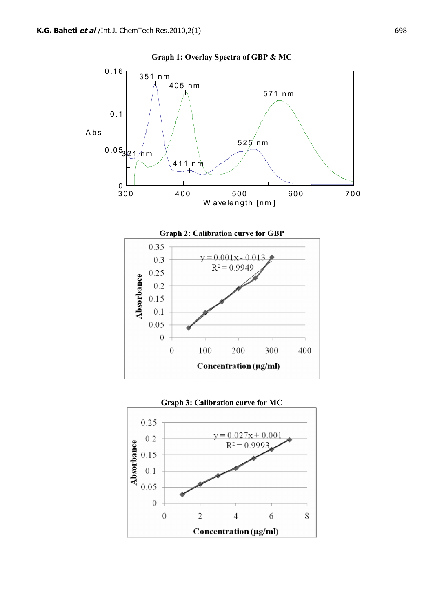